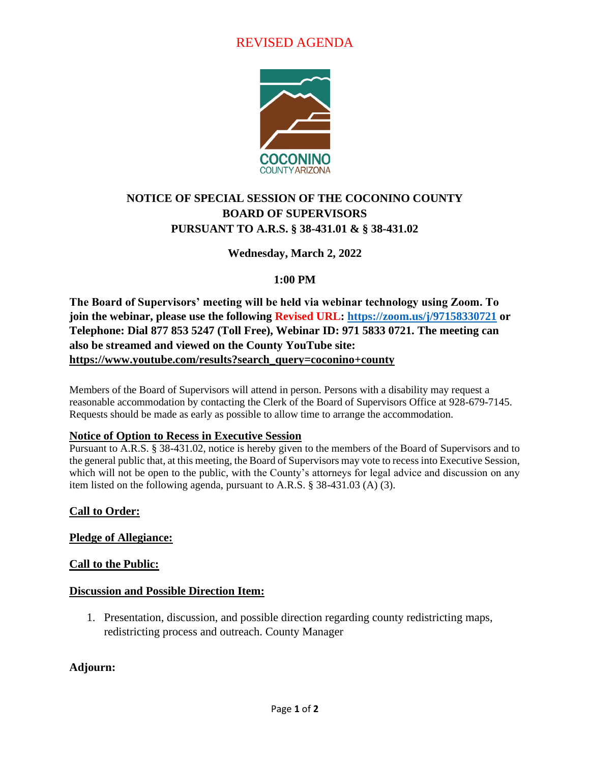# REVISED AGENDA



## **NOTICE OF SPECIAL SESSION OF THE COCONINO COUNTY BOARD OF SUPERVISORS PURSUANT TO A.R.S. § 38-431.01 & § 38-431.02**

**Wednesday, March 2, 2022**

### **1:00 PM**

**The Board of Supervisors' meeting will be held via webinar technology using Zoom. To join the webinar, please use the following Revised URL:<https://zoom.us/j/97158330721> or Telephone: Dial 877 853 5247 (Toll Free), Webinar ID: 971 5833 0721. The meeting can also be streamed and viewed on the County YouTube site: [https://www.youtube.com/results?search\\_query=coconino+county](https://www.youtube.com/results?search_query=coconino+county)**

Members of the Board of Supervisors will attend in person. Persons with a disability may request a reasonable accommodation by contacting the Clerk of the Board of Supervisors Office at 928-679-7145. Requests should be made as early as possible to allow time to arrange the accommodation.

#### **Notice of Option to Recess in Executive Session**

Pursuant to A.R.S. § 38-431.02, notice is hereby given to the members of the Board of Supervisors and to the general public that, at this meeting, the Board of Supervisors may vote to recess into Executive Session, which will not be open to the public, with the County's attorneys for legal advice and discussion on any item listed on the following agenda, pursuant to A.R.S. § 38-431.03 (A) (3).

#### **Call to Order:**

#### **Pledge of Allegiance:**

#### **Call to the Public:**

#### **Discussion and Possible Direction Item:**

1. Presentation, discussion, and possible direction regarding county redistricting maps, redistricting process and outreach. County Manager

#### **Adjourn:**